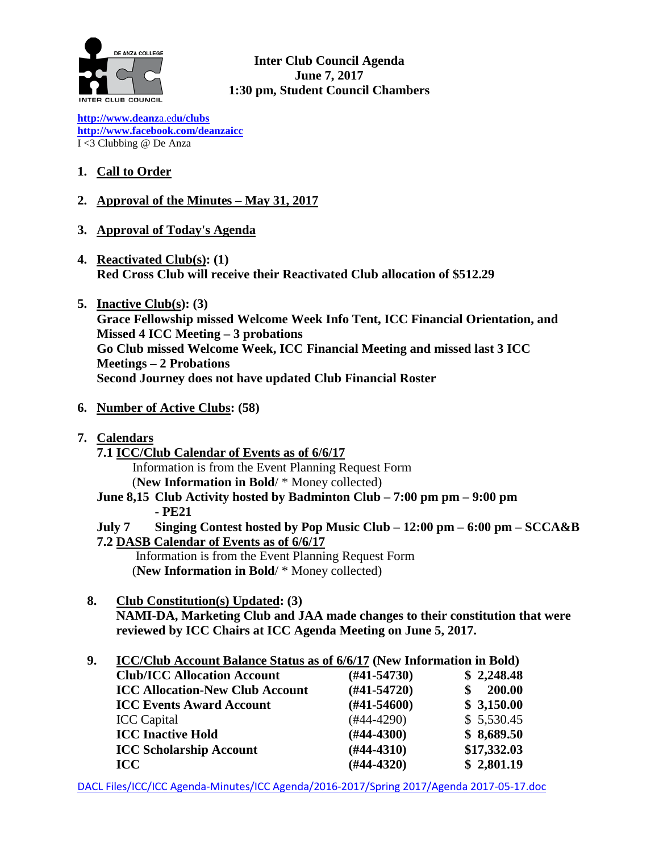

**Inter Club Council Agenda June 7, 2017 1:30 pm, Student Council Chambers**

**[http://www.deanz](http://www.deanza.edu/clubs)**[a.ed](http://www.deanza.edu/clubs)**[u/clubs](http://www.deanza.edu/clubs) [http://www.facebook.com/deanzaicc](http://www.facebook.com/home.php#!/group.php?gid=59034552686)** I <3 Clubbing @ De Anza

## **1. Call to Order**

## **2. Approval of the Minutes – May 31, 2017**

- **3. Approval of Today's Agenda**
- **4. Reactivated Club(s): (1) Red Cross Club will receive their Reactivated Club allocation of \$512.29**
- **5. Inactive Club(s): (3) Grace Fellowship missed Welcome Week Info Tent, ICC Financial Orientation, and Missed 4 ICC Meeting – 3 probations Go Club missed Welcome Week, ICC Financial Meeting and missed last 3 ICC Meetings – 2 Probations Second Journey does not have updated Club Financial Roster**
- **6. Number of Active Clubs: (58)**
- **7. Calendars**
	- **7.1 ICC/Club Calendar of Events as of 6/6/17** Information is from the Event Planning Request Form (**New Information in Bold**/ \* Money collected)
	- **June 8,15 Club Activity hosted by Badminton Club – 7:00 pm pm – 9:00 pm - PE21**
	- **July 7 Singing Contest hosted by Pop Music Club – 12:00 pm – 6:00 pm – SCCA&B 7.2 DASB Calendar of Events as of 6/6/17**

Information is from the Event Planning Request Form (**New Information in Bold**/ \* Money collected)

**8. Club Constitution(s) Updated: (3)**

**NAMI-DA, Marketing Club and JAA made changes to their constitution that were reviewed by ICC Chairs at ICC Agenda Meeting on June 5, 2017.**

| 9. | <b>ICC/Club Account Balance Status as of 6/6/17 (New Information in Bold)</b> |                  |             |
|----|-------------------------------------------------------------------------------|------------------|-------------|
|    | <b>Club/ICC Allocation Account</b>                                            | $(\#41 - 54730)$ | \$2,248.48  |
|    | <b>ICC Allocation-New Club Account</b>                                        | $(#41-54720)$    | 200.00      |
|    | <b>ICC Events Award Account</b>                                               | $(\#41 - 54600)$ | \$3,150.00  |
|    | <b>ICC</b> Capital                                                            | $(\#44 - 4290)$  | \$5,530.45  |
|    | <b>ICC Inactive Hold</b>                                                      | $(\#44-4300)$    | \$8,689.50  |
|    | <b>ICC Scholarship Account</b>                                                | $(#44-4310)$     | \$17,332.03 |
|    | <b>ICC</b>                                                                    | $(#44-4320)$     | \$2,801.19  |